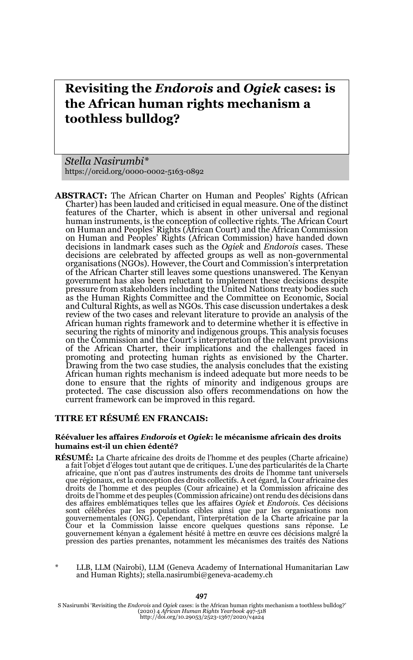# **Revisiting the** *Endorois* **and** *Ogiek* **cases: is the African human rights mechanism a toothless bulldog?**

*Stella Nasirumbi\** https://orcid.org/0000-0002-5163-0892

**ABSTRACT:** The African Charter on Human and Peoples' Rights (African Charter) has been lauded and criticised in equal measure. One of the distinct features of the Charter, which is absent in other universal and regional human instruments, is the conception of collective rights. The African Court on Human and Peoples' Rights (African Court) and the African Commission on Human and Peoples' Rights (African Commission) have handed down decisions in landmark cases such as the *Ogiek* and *Endorois* cases. These decisions are celebrated by affected groups as well as non-governmental organisations (NGOs). However, the Court and Commission's interpretation of the African Charter still leaves some questions unanswered. The Kenyan government has also been reluctant to implement these decisions despite pressure from stakeholders including the United Nations treaty bodies such as the Human Rights Committee and the Committee on Economic, Social and Cultural Rights, as well as NGOs. This case discussion undertakes a desk review of the two cases and relevant literature to provide an analysis of the African human rights framework and to determine whether it is effective in securing the rights of minority and indigenous groups. This analysis focuses on the Commission and the Court's interpretation of the relevant provisions of the African Charter, their implications and the challenges faced in promoting and protecting human rights as envisioned by the Charter. Drawing from the two case studies, the analysis concludes that the existing African human rights mechanism is indeed adequate but more needs to be done to ensure that the rights of minority and indigenous groups are protected. The case discussion also offers recommendations on how the current framework can be improved in this regard.

#### **TITRE ET RÉSUMÉ EN FRANCAIS:**

#### **Réévaluer les affaires** *Endorois* **et** *Ogiek***: le mécanisme africain des droits humains est-il un chien édenté?**

- **RÉSUMÉ:** La Charte africaine des droits de l'homme et des peuples (Charte africaine) a fait l'objet d'éloges tout autant que de critiques. L'une des particularités de la Charte africaine, que n'ont pas d'autres instruments des droits de l'homme tant universels que régionaux, est la conception des droits collectifs. A cet égard, la Cour africaine des droits de l'homme et des peuples (Cour africaine) et la Commission africaine des droits de l'homme et des peuples (Commission africaine) ont rendu des décisions dans des affaires emblématiques telles que les affaires *Ogiek* et *Endorois*. Ces décisions sont célébrées par les populations cibles ainsi que par les organisations non gouvernementales (ONG). Cependant, l'interprétation de la Charte africaine par la<br>Cour et la Commission laisse encore quelques questions sans réponse. Le<br>gouvernement kényan a également hésité à mettre en œuvre ces décisio pression des parties prenantes, notamment les mécanismes des traités des Nations
- LLB, LLM (Nairobi), LLM (Geneva Academy of International Humanitarian Law and Human Rights); stella.nasirumbi@geneva-academy.ch

S Nasirumbi 'Revisiting the *Endorois* and *Ogiek* cases: is the African human rights mechanism a toothless bulldog?' (2020) 4 *African Human Rights Yearbook* 497-518 http://doi.org/10.29053/2523-1367/2020/v4a24

#### 497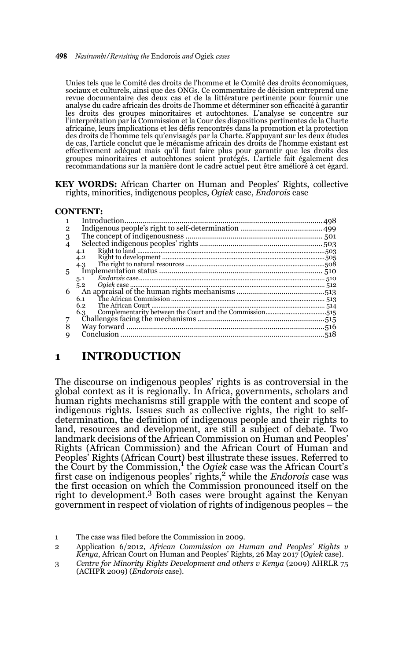#### 498 *Nasirumbi/Revisiting the* Endorois *and* Ogiek *cases*

Unies tels que le Comité des droits de l'homme et le Comité des droits économiques, sociaux et culturels, ainsi que des ONGs. Ce commentaire de décision entreprend une revue documentaire des deux cas et de la littérature pertinente pour fournir une analyse du cadre africain des droits de l'homme et déterminer son efficacité à garantir les droits des groupes minoritaires et autochtones. L'analyse se concentre sur l'interprétation par la Commission et la Cour des dispositions pertinentes de la Charte africaine, leurs implications et les défis rencontrés dans la promotion et la protection des droits de l'homme tels qu'envisagés par la Charte. S'appuyant sur les deux études de cas, l'article conclut que le mécanisme africain des droits de l'homme existant est effectivement adéquat mais qu'il faut faire plus pour garantir que les droits des groupes minoritaires et autochtones soient protégés. L'article fait également des recommandations sur la manière dont le cadre actuel peut être amélioré à cet égard.

#### **KEY WORDS:** African Charter on Human and Peoples' Rights, collective rights, minorities, indigenous peoples, *Ogiek* case, *Endorois* case

#### **CONTENT:**

| 2 |     |  |
|---|-----|--|
| 3 |     |  |
|   |     |  |
|   | 4.1 |  |
|   | 4.2 |  |
|   | 4.3 |  |
| 5 |     |  |
|   | 5.1 |  |
|   | 5.2 |  |
| 6 |     |  |
|   | 6.1 |  |
|   | 6.2 |  |
|   | 6.3 |  |
|   |     |  |
|   |     |  |
| q |     |  |
|   |     |  |

### **1 INTRODUCTION**

The discourse on indigenous peoples' rights is as controversial in the global context as it is regionally. In Africa, governments, scholars and human rights mechanisms still grapple with the content and scope of indigenous rights. Issues such as collective rights, the right to selfdetermination, the definition of indigenous people and their rights to land, resources and development, are still a subject of debate. Two landmark decisions of the African Commission on Human and Peoples' Rights (African Commission) and the African Court of Human and Peoples' Rights (African Court) best illustrate these issues. Referred to the Court by the Commission,<sup>1</sup> the *Ogiek* case was the African Court's first case on indigenous peoples' rights,2 while the *Endorois* case was the first occasion on which the Commission pronounced itself on the right to development.3 Both cases were brought against the Kenyan government in respect of violation of rights of indigenous peoples – the

<sup>1</sup> The case was filed before the Commission in 2009.

<sup>2</sup> Application 6/2012, *African Commission on Human and Peoples' Rights v Kenya*, African Court on Human and Peoples' Rights, 26 May 2017 (*Ogiek* case).

<sup>3</sup> *Centre for Minority Rights Development and others v Kenya* (2009) AHRLR 75 (ACHPR 2009) (*Endorois* case).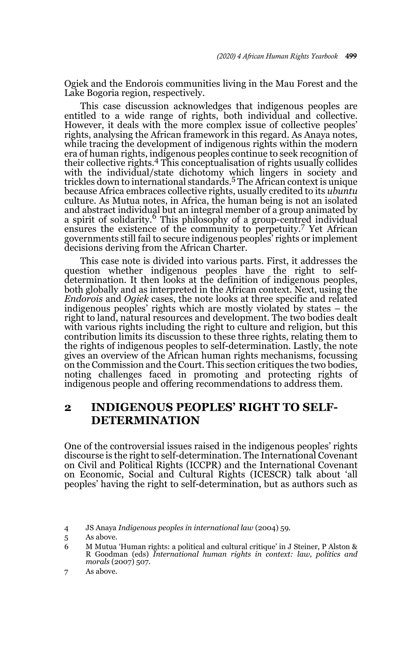Ogiek and the Endorois communities living in the Mau Forest and the Lake Bogoria region, respectively.

This case discussion acknowledges that indigenous peoples are entitled to a wide range of rights, both individual and collective. However, it deals with the more complex issue of collective peoples' rights, analysing the African framework in this regard. As Anaya notes, while tracing the development of indigenous rights within the modern era of human rights, indigenous peoples continue to seek recognition of their collective rights.4 This conceptualisation of rights usually collides with the individual/state dichotomy which lingers in society and trickles down to international standards.5 The African context is unique because Africa embraces collective rights, usually credited to its *ubuntu* culture. As Mutua notes, in Africa, the human being is not an isolated and abstract individual but an integral member of a group animated by a spirit of solidarity.6 This philosophy of a group-centred individual ensures the existence of the community to perpetuity.7 Yet African governments still fail to secure indigenous peoples' rights or implement decisions deriving from the African Charter.

This case note is divided into various parts. First, it addresses the question whether indigenous peoples have the right to selfdetermination. It then looks at the definition of indigenous peoples, both globally and as interpreted in the African context. Next, using the *Endorois* and *Ogiek* cases, the note looks at three specific and related indigenous peoples' rights which are mostly violated by states – the right to land, natural resources and development. The two bodies dealt with various rights including the right to culture and religion, but this contribution limits its discussion to these three rights, relating them to the rights of indigenous peoples to self-determination. Lastly, the note gives an overview of the African human rights mechanisms, focussing on the Commission and the Court. This section critiques the two bodies, noting challenges faced in promoting and protecting rights of indigenous people and offering recommendations to address them.

# **2 INDIGENOUS PEOPLES' RIGHT TO SELF-DETERMINATION**

One of the controversial issues raised in the indigenous peoples' rights discourse is the right to self-determination. The International Covenant on Civil and Political Rights (ICCPR) and the International Covenant on Economic, Social and Cultural Rights (ICESCR) talk about 'all peoples' having the right to self-determination, but as authors such as

<sup>4</sup> JS Anaya *Indigenous peoples in international law* (2004) 59.

<sup>5</sup> As above.

<sup>6</sup> M Mutua 'Human rights: a political and cultural critique' in J Steiner, P Alston & R Goodman (eds) *International human rights in context: law, politics and morals* (2007) 507.

<sup>7</sup> As above.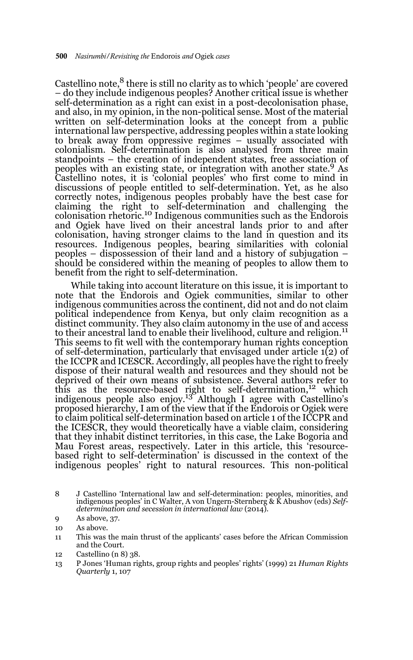Castellino note, $8$  there is still no clarity as to which 'people' are covered – do they include indigenous peoples? Another critical issue is whether self-determination as a right can exist in a post-decolonisation phase, and also, in my opinion, in the non-political sense. Most of the material written on self-determination looks at the concept from a public international law perspective, addressing peoples within a state looking to break away from oppressive regimes – usually associated with colonialism. Self-determination is also analysed from three main standpoints – the creation of independent states, free association of peoples with an existing state, or integration with another state.9 As Castellino notes, it is 'colonial peoples' who first come to mind in discussions of people entitled to self-determination. Yet, as he also correctly notes, indigenous peoples probably have the best case for claiming the right to self-determination and challenging the colonisation rhetoric.<sup>10</sup> Indigenous communities such as the Endorois and Ogiek have lived on their ancestral lands prior to and after colonisation, having stronger claims to the land in question and its resources. Indigenous peoples, bearing similarities with colonial peoples – dispossession of their land and a history of subjugation – should be considered within the meaning of peoples to allow them to benefit from the right to self-determination.

While taking into account literature on this issue, it is important to note that the Endorois and Ogiek communities, similar to other indigenous communities across the continent, did not and do not claim political independence from Kenya, but only claim recognition as a distinct community. They also claim autonomy in the use of and access to their ancestral land to enable their livelihood, culture and religion.<sup>11</sup> This seems to fit well with the contemporary human rights conception of self-determination, particularly that envisaged under article 1(2) of the ICCPR and ICESCR. Accordingly, all peoples have the right to freely dispose of their natural wealth and resources and they should not be deprived of their own means of subsistence. Several authors refer to this as the resource-based right to self-determination,12 which indigenous people also enjoy.<sup>13</sup> Although I agree with Castellino's proposed hierarchy, I am of the view that if the Endorois or Ogiek were to claim political self-determination based on article 1 of the ICCPR and the ICESCR, they would theoretically have a viable claim, considering that they inhabit distinct territories, in this case, the Lake Bogoria and Mau Forest areas, respectively. Later in this article, this 'resourcebased right to self-determination' is discussed in the context of the indigenous peoples' right to natural resources. This non-political

12 Castellino (n 8) 38.

<sup>8</sup> J Castellino 'International law and self-determination: peoples, minorities, and indigenous peoples' in C Walter, A von Ungern-Sternberg & K Abushov (eds) *Selfdetermination and secession in international law* (2014).

<sup>9</sup> As above, 37.

<sup>10</sup> As above.

<sup>11</sup> This was the main thrust of the applicants' cases before the African Commission and the Court.

<sup>13</sup> P Jones 'Human rights, group rights and peoples' rights' (1999) 21 *Human Rights Quarterly* 1, 107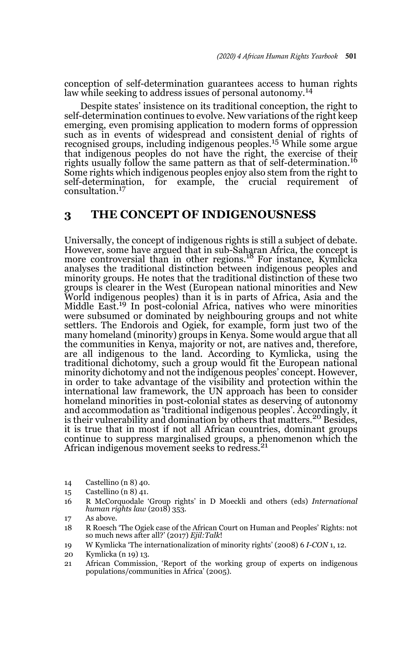conception of self-determination guarantees access to human rights law while seeking to address issues of personal autonomy.<sup>14</sup>

Despite states' insistence on its traditional conception, the right to self-determination continues to evolve. New variations of the right keep emerging, even promising application to modern forms of oppression such as in events of widespread and consistent denial of rights of recognised groups, including indigenous peoples.15 While some argue that indigenous peoples do not have the right, the exercise of their rights usually follow the same pattern as that of self-determination.<sup>16</sup> Some rights which indigenous peoples enjoy also stem from the right to self-determination, for example, the crucial requirement of consultation.<sup>17</sup>

### **3 THE CONCEPT OF INDIGENOUSNESS**

Universally, the concept of indigenous rights is still a subject of debate. However, some have argued that in sub-Saharan Africa, the concept is more controversial than in other regions.<sup>18</sup> For instance, Kymlicka analyses the traditional distinction between indigenous peoples and minority groups. He notes that the traditional distinction of these two groups is clearer in the West (European national minorities and New World indigenous peoples) than it is in parts of Africa, Asia and the Middle East.<sup>19</sup> In post-colonial Africa, natives who were minorities were subsumed or dominated by neighbouring groups and not white settlers. The Endorois and Ogiek, for example, form just two of the many homeland (minority) groups in Kenya. Some would argue that all the communities in Kenya, majority or not, are natives and, therefore, are all indigenous to the land. According to Kymlicka, using the traditional dichotomy, such a group would fit the European national minority dichotomy and not the indigenous peoples' concept. However, in order to take advantage of the visibility and protection within the international law framework, the UN approach has been to consider homeland minorities in post-colonial states as deserving of autonomy and accommodation as 'traditional indigenous peoples'. Accordingly, it is their vulnerability and domination by others that matters.<sup>20</sup> Besides, it is true that in most if not all African countries, dominant groups continue to suppress marginalised groups, a phenomenon which the African indigenous movement seeks to redress.<sup>21</sup>

- 14 Castellino (n 8) 40.
- 15 Castellino (n 8) 41.
- 16 R McCorquodale 'Group rights' in D Moeckli and others (eds) *International human rights law* (2018) 353.
- 17 As above.

18 R Roesch 'The Ogiek case of the African Court on Human and Peoples' Rights: not so much news after all?' (2017) *Ejil:Talk*!

- 19 W Kymlicka 'The internationalization of minority rights' (2008) 6 *I-CON* 1, 12.
- 20 Kymlicka (n 19) 13.
- 21 African Commission, 'Report of the working group of experts on indigenous populations/communities in Africa' (2005).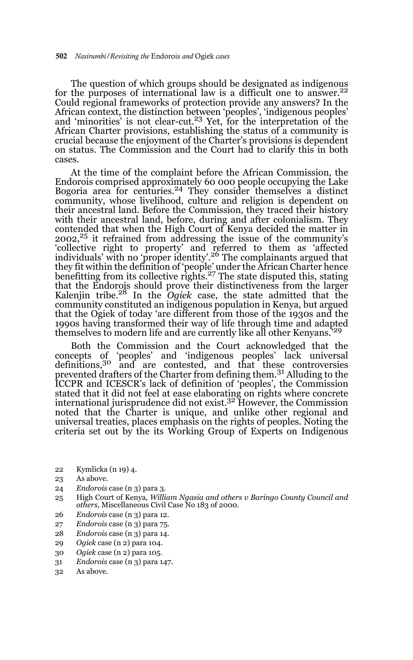The question of which groups should be designated as indigenous for the purposes of international law is a difficult one to answer.<sup>22</sup> Could regional frameworks of protection provide any answers? In the African context, the distinction between 'peoples', 'indigenous peoples' and 'minorities' is not clear-cut.<sup>23</sup> Yet, for the interpretation of the African Charter provisions, establishing the status of a community is crucial because the enjoyment of the Charter's provisions is dependent on status. The Commission and the Court had to clarify this in both cases.

At the time of the complaint before the African Commission, the Endorois comprised approximately 60 000 people occupying the Lake Bogoria area for centuries.<sup>24</sup> They consider themselves a distinct community, whose livelihood, culture and religion is dependent on their ancestral land. Before the Commission, they traced their history with their ancestral land, before, during and after colonialism. They contended that when the High Court of Kenya decided the matter in  $2002<sup>25</sup>$  it refrained from addressing the issue of the community's 'collective right to property' and referred to them as 'affected individuals' with no 'proper identity'.26 The complainants argued that they fit within the definition of 'people' under the Āfrican Charter hence<br>benefitting from its collective rights.<sup>27</sup> The state disputed this, stating that the Endorois should prove their distinctiveness from the larger Kalenjin tribe.28 In the *Ogiek* case, the state admitted that the community constituted an indigenous population in Kenya, but argued that the Ogiek of today 'are different from those of the 1930s and the 1990s having transformed their way of life through time and adapted themselves to modern life and are currently like all other Kenyans.'<sup>29</sup>

Both the Commission and the Court acknowledged that the concepts of 'peoples' and 'indigenous peoples' lack universal definitions,30 and are contested, and that these controversies prevented drafters of the Charter from defining them.<sup>31</sup> Alluding to the ICCPR and ICESCR's lack of definition of 'peoples', the Commission stated that it did not feel at ease elaborating on rights where concrete international jurisprudence did not exist.32 However, the Commission noted that the Charter is unique, and unlike other regional and universal treaties, places emphasis on the rights of peoples. Noting the criteria set out by the its Working Group of Experts on Indigenous

- 22 Kymlicka (n 19) 4.
- 23 As above.
- 24 *Endorois* case (n 3) para 3.
- 25 High Court of Kenya*, William Ngasia and others v Baringo County Council and others*, Miscellaneous Civil Case No 183 of 2000.
- 26 *Endorois* case (n 3) para 12.
- 27 *Endorois* case (n 3) para 75.
- 28 *Endorois* case (n 3) para 14.
- 29 *Ogiek* case (n 2) para 104.
- 30 *Ogiek* case (n 2) para 105.
- 31 *Endorois* case (n 3) para 147.
- 32 As above.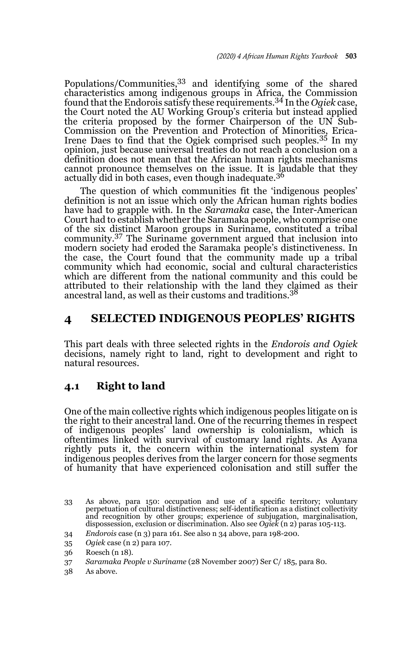Populations/Communities,33 and identifying some of the shared characteristics among indigenous groups in Africa, the Commission found that the Endorois satisfy these requirements.34 In the *Ogiek* case, the Court noted the AU Working Group's criteria but instead applied the criteria proposed by the former Chairperson of the UN Sub-Commission on the Prevention and Protection of Minorities, Erica-Irene Daes to find that the Ogiek comprised such peoples.35 In my opinion, just because universal treaties do not reach a conclusion on a definition does not mean that the African human rights mechanisms cannot pronounce themselves on the issue. It is laudable that they actually did in both cases, even though inadequate.<sup>36</sup>

The question of which communities fit the 'indigenous peoples' definition is not an issue which only the African human rights bodies have had to grapple with. In the *Saramaka* case, the Inter-American Court had to establish whether the Saramaka people, who comprise one of the six distinct Maroon groups in Suriname, constituted a tribal community.37 The Suriname government argued that inclusion into modern society had eroded the Saramaka people's distinctiveness. In the case, the Court found that the community made up a tribal community which had economic, social and cultural characteristics which are different from the national community and this could be attributed to their relationship with the land they claimed as their ancestral land, as well as their customs and traditions.<sup>38</sup>

### **4 SELECTED INDIGENOUS PEOPLES' RIGHTS**

This part deals with three selected rights in the *Endorois and Ogiek* decisions, namely right to land, right to development and right to natural resources.

### **4.1 Right to land**

One of the main collective rights which indigenous peoples litigate on is the right to their ancestral land. One of the recurring themes in respect of indigenous peoples' land ownership is colonialism, which is oftentimes linked with survival of customary land rights. As Ayana rightly puts it, the concern within the international system for indigenous peoples derives from the larger concern for those segments of humanity that have experienced colonisation and still suffer the

38 As above.

<sup>33</sup> As above, para 150: occupation and use of a specific territory; voluntary perpetuation of cultural distinctiveness; self-identification as a distinct collectivity and recognition by other groups; experience of subjugation, marginalisation, dispossession, exclusion or discrimination. Also see *Ogiek* (n 2) paras 105-113.

<sup>34</sup> *Endorois* case (n 3) para 161. See also n 34 above, para 198-200.

<sup>35</sup> *Ogiek* case (n 2) para 107.

<sup>36</sup> Roesch (n 18).

<sup>37</sup> *Saramaka People v Suriname* (28 November 2007) Ser C/ 185, para 80.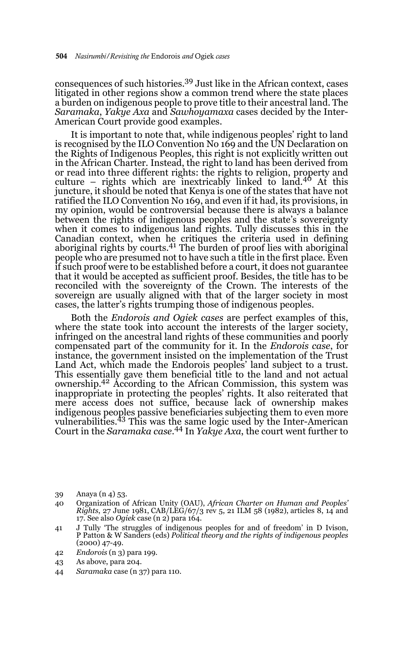consequences of such histories.39 Just like in the African context, cases litigated in other regions show a common trend where the state places a burden on indigenous people to prove title to their ancestral land. The *Saramaka*, *Yakye Axa* and *Sawhoyamaxa* cases decided by the Inter-American Court provide good examples.

It is important to note that, while indigenous peoples' right to land is recognised by the ILO Convention No 169 and the UN Declaration on the Rights of Indigenous Peoples, this right is not explicitly written out in the African Charter. Instead, the right to land has been derived from or read into three different rights: the rights to religion, property and culture – rights which are inextricably linked to land.<sup>40</sup> At this juncture, it should be noted that Kenya is one of the states that have not ratified the ILO Convention No 169, and even if it had, its provisions, in my opinion, would be controversial because there is always a balance between the rights of indigenous peoples and the state's sovereignty when it comes to indigenous land rights. Tully discusses this in the Canadian context, when he critiques the criteria used in defining aboriginal rights by courts.<sup>41</sup> The burden of proof lies with aboriginal people who are presumed not to have such a title in the first place. Even if such proof were to be established before a court, it does not guarantee that it would be accepted as sufficient proof. Besides, the title has to be reconciled with the sovereignty of the Crown. The interests of the sovereign are usually aligned with that of the larger society in most cases, the latter's rights trumping those of indigenous peoples.

Both the *Endorois and Ogiek cases* are perfect examples of this, where the state took into account the interests of the larger society, infringed on the ancestral land rights of these communities and poorly compensated part of the community for it. In the *Endorois case*, for instance, the government insisted on the implementation of the Trust Land Act, which made the Endorois peoples' land subject to a trust. This essentially gave them beneficial title to the land and not actual ownership.42 According to the African Commission, this system was inappropriate in protecting the peoples' rights. It also reiterated that mere access does not suffice, because lack of ownership makes indigenous peoples passive beneficiaries subjecting them to even more vulnerabilities.<sup>43</sup> This was the same logic used by the Inter-American Court in the *Saramaka case*. 44 In *Yakye Axa*, the court went further to

- 39 Anaya (n 4) 53.
- 40 Organization of African Unity (OAU), *African Charter on Human and Peoples' Rights*, 27 June 1981, CAB/LEG/67/3 rev 5, 21 ILM 58 (1982), articles 8, 14 and 17. See also *Ogiek* case (n 2) para 164.
- 41 J Tully 'The struggles of indigenous peoples for and of freedom' in D Ivison, P Patton & W Sanders (eds) *Political theory and the rights of indigenous peoples* (2000) 47-49.
- 42 *Endorois* (n 3) para 199.
- 43 As above, para 204.
- 44 *Saramaka* case (n 37) para 110.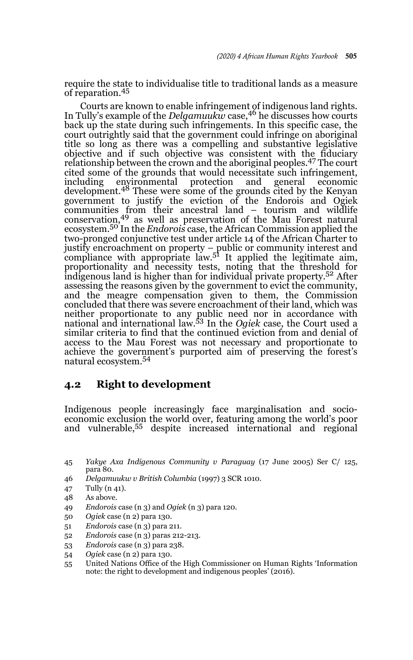require the state to individualise title to traditional lands as a measure of reparation.<sup>45</sup>

Courts are known to enable infringement of indigenous land rights. In Tully's example of the *Delgamuukw* case,<sup>46</sup> he discusses how courts back up the state during such infringements. In this specific case, the court outrightly said that the government could infringe on aboriginal title so long as there was a compelling and substantive legislative objective and if such objective was consistent with the fiduciary relationship between the crown and the aboriginal peoples.47 The court cited some of the grounds that would necessitate such infringement, including environmental protection and general economic including environmental protection and general economic development.48 These were some of the grounds cited by the Kenyan government to justify the eviction of the Endorois and Ogiek communities from their ancestral land – tourism and wildlife conservation,49 as well as preservation of the Mau Forest natural ecosystem.50 In the *Endorois* case, the African Commission applied the two-pronged conjunctive test under article 14 of the African Charter to justify encroachment on property – public or community interest and compliance with appropriate law.<sup>51</sup> It applied the legitimate aim, proportionality and necessity tests, noting that the threshold for indigenous land is higher than for individual private property.52 After assessing the reasons given by the government to evict the community, and the meagre compensation given to them, the Commission concluded that there was severe encroachment of their land, which was neither proportionate to any public need nor in accordance with national and international law.53 In the *Ogiek* case, the Court used a similar criteria to find that the continued eviction from and denial of access to the Mau Forest was not necessary and proportionate to achieve the government's purported aim of preserving the forest's natural ecosystem.54

### **4.2 Right to development**

Indigenous people increasingly face marginalisation and socioeconomic exclusion the world over, featuring among the world's poor and vulnerable,55 despite increased international and regional

- 46 *Delgamuukw v British Columbia* (1997) 3 SCR 1010.
- 47 Tully (n 41).
- 48 As above.
- 49 *Endorois* case (n 3) and *Ogiek* (n 3) para 120.
- 50 *Ogiek* case (n 2) para 130.
- 51 *Endorois* case (n 3) para 211.
- 52 *Endorois* case (n 3) paras 212-213.
- 53 *Endorois* case (n 3) para 238.
- 54 *Ogiek* case (n 2) para 130.
- 55 United Nations Office of the High Commissioner on Human Rights 'Information note: the right to development and indigenous peoples' (2016).

<sup>45</sup> *Yakye Axa Indigenous Community v Paraguay* (17 June 2005) Ser C/ 125, para 80.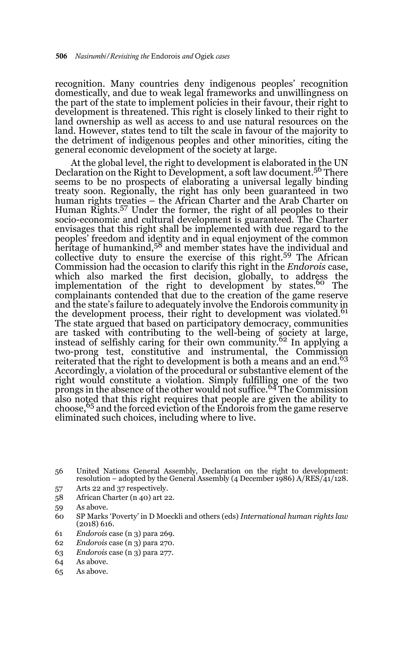recognition. Many countries deny indigenous peoples' recognition domestically, and due to weak legal frameworks and unwillingness on the part of the state to implement policies in their favour, their right to development is threatened. This right is closely linked to their right to land ownership as well as access to and use natural resources on the land. However, states tend to tilt the scale in favour of the majority to the detriment of indigenous peoples and other minorities, citing the general economic development of the society at large.

At the global level, the right to development is elaborated in the UN Declaration on the Right to Development, a soft law document.<sup>56</sup> There seems to be no prospects of elaborating a universal legally binding treaty soon. Regionally, the right has only been guaranteed in two human rights treaties – the African Charter and the Arab Charter on Human Rights.57 Under the former, the right of all peoples to their socio-economic and cultural development is guaranteed. The Charter envisages that this right shall be implemented with due regard to the peoples' freedom and identity and in equal enjoyment of the common heritage of humankind,<sup>58</sup> and member states have the individual and collective duty to ensure the exercise of this right.59 The African Commission had the occasion to clarify this right in the *Endorois* case, which also marked the first decision, globally, to address the<br>implementation of the right to development by states.<sup>60</sup> The complainants contended that due to the creation of the game reserve and the state's failure to adequately involve the Endorois community in the development process, their right to development was violated.<sup>61</sup> The state argued that based on participatory democracy, communities are tasked with contributing to the well-being of society at large, instead of selfishly caring for their own community.<sup>62</sup> In applying a two-prong test, constitutive and instrumental, the Commission reiterated that the right to development is both a means and an end.<sup>63</sup> Accordingly, a violation of the procedural or substantive element of the right would constitute a violation. Simply fulfilling one of the two prongs in the absence of the other would not suffice.<sup>64</sup> The Commission also noted that this right requires that people are given the ability to choose,65 and the forced eviction of the Endorois from the game reserve eliminated such choices, including where to live.

- 57 Arts 22 and 37 respectively.
- 58 African Charter (n 40) art 22.
- 59 As above.
- 60 SP Marks 'Poverty' in D Moeckli and others (eds) *International human rights law* (2018) 616.
- 61 *Endorois* case (n 3) para 269.
- 62 *Endorois* case (n 3) para 270.
- 63 *Endorois* case (n 3) para 277.
- 64 As above.
- 65 As above.

<sup>56</sup> United Nations General Assembly, Declaration on the right to development: resolution – adopted by the General Assembly (4 December 1986) A/RES/41/128.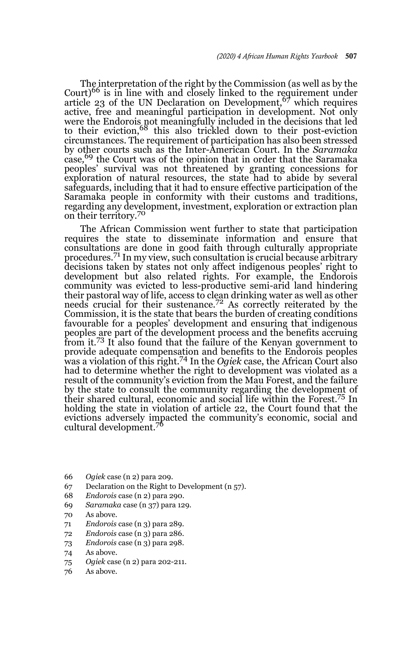The interpretation of the right by the Commission (as well as by the Court)<sup>66</sup> is in line with and closely linked to the requirement under article 23 of the UN Declaration on Development,  $67$  which requires active, free and meaningful participation in development. Not only were the Endorois not meaningfully included in the decisions that led to their eviction,<sup>68</sup> this also trickled down to their post-eviction circumstances. The requirement of participation has also been stressed by other courts such as the Inter-American Court. In the *Saramaka* case,<sup>69</sup> the Court was of the opinion that in order that the Saramaka peoples' survival was not threatened by granting concessions for exploration of natural resources, the state had to abide by several safeguards, including that it had to ensure effective participation of the Saramaka people in conformity with their customs and traditions, regarding any development, investment, exploration or extraction plan on their territory.<sup>70</sup>

The African Commission went further to state that participation requires the state to disseminate information and ensure that consultations are done in good faith through culturally appropriate procedures.71 In my view, such consultation is crucial because arbitrary decisions taken by states not only affect indigenous peoples' right to development but also related rights. For example, the Endorois community was evicted to less-productive semi-arid land hindering their pastoral way of life, access to clean drinking water as well as other<br>needs crucial for their sustenance.<sup>72</sup> As correctly reiterated by the Commission, it is the state that bears the burden of creating conditions favourable for a peoples' development and ensuring that indigenous peoples are part of the development process and the benefits accruing from it.<sup>73</sup> It also found that the failure of the Kenyan government to provide adequate compensation and benefits to the Endorois peoples was a violation of this right.74 In the *Ogiek* case, the African Court also had to determine whether the right to development was violated as a result of the community's eviction from the Mau Forest, and the failure by the state to consult the community regarding the development of their shared cultural, economic and social life within the Forest.75 In holding the state in violation of article 22, the Court found that the evictions adversely impacted the community's economic, social and cultural development.<sup>76</sup>

- 66 *Ogiek* case (n 2) para 209.
- 67 Declaration on the Right to Development (n 57).
- 68 *Endorois* case (n 2) para 290.
- 69 *Saramaka* case (n 37) para 129.
- 70 As above.
- 71 *Endorois* case (n 3) para 289.
- 72 *Endorois* case (n 3) para 286.
- 73 *Endorois* case (n 3) para 298.
- 74 As above.
- 75 *Ogiek* case (n 2) para 202-211.
- 76 As above.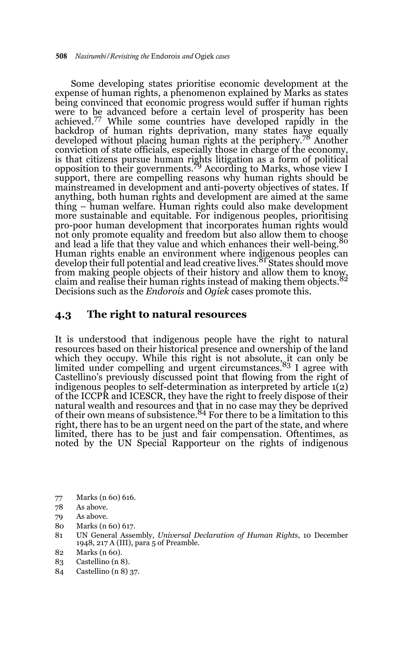Some developing states prioritise economic development at the expense of human rights, a phenomenon explained by Marks as states being convinced that economic progress would suffer if human rights were to be advanced before a certain level of prosperity has been achieved.77 While some countries have developed rapidly in the backdrop of human rights deprivation, many states have equally developed without placing human rights at the periphery.78 Another conviction of state officials, especially those in charge of the economy, is that citizens pursue human rights litigation as a form of political opposition to their governments.79 According to Marks, whose view I support, there are compelling reasons why human rights should be mainstreamed in development and anti-poverty objectives of states. If anything, both human rights and development are aimed at the same thing – human welfare. Human rights could also make development more sustainable and equitable. For indigenous peoples, prioritising pro-poor human development that incorporates human rights would not only promote equality and freedom but also allow them to choose and lead a life that they value and which enhances their well-being. Human rights enable an environment where indigenous peoples can develop their full potential and lead creative lives. <sup>81</sup> States should move develop their fun potential and read experience of allow them to know, from making people objects of their history and allow them objects  $82$ claim and realise their human rights instead of making them objects. Decisions such as the *Endorois* and *Ogiek* cases promote this.

### **4.3 The right to natural resources**

It is understood that indigenous people have the right to natural resources based on their historical presence and ownership of the land which they occupy. While this right is not absolute, it can only be<br>limited under compelling and urgent circumstances.<sup>83</sup> I agree with Castellino's previously discussed point that flowing from the right of indigenous peoples to self-determination as interpreted by article 1(2) of the ICCPR and ICESCR, they have the right to freely dispose of their natural wealth and resources and that in no case may they be deprived of their own means of subsistence.<sup>84</sup> For there to be a limitation to this right, there has to be an urgent need on the part of the state, and where limited, there has to be just and fair compensation. Oftentimes, as noted by the UN Special Rapporteur on the rights of indigenous

- 77 Marks (n 60) 616.
- 78 As above.

- 80 Marks (n 60) 617.
- 81 UN General Assembly, *Universal Declaration of Human Rights*, 10 December 1948, 217 A (III), para 5 of Preamble.
- 82 Marks (n 60).
- 83 Castellino (n 8).
- 84 Castellino (n 8) 37.

<sup>79</sup> As above.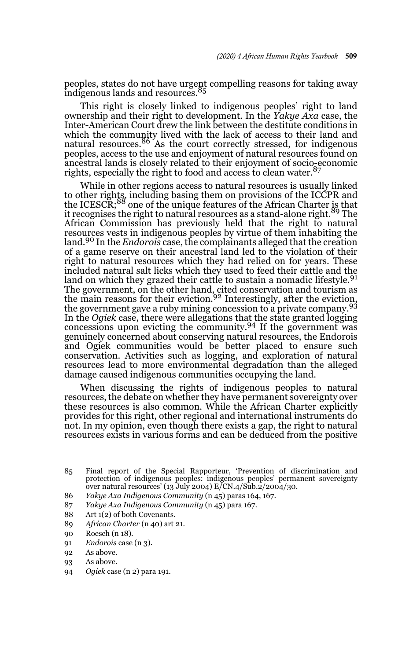peoples, states do not have urgent compelling reasons for taking away indigenous lands and resources.<sup>85</sup>

This right is closely linked to indigenous peoples' right to land ownership and their right to development. In the *Yakye Axa* case, the Inter-American Court drew the link between the destitute conditions in which the community lived with the lack of access to their land and natural resources.<sup>86</sup> As the court correctly stressed, for indigenous peoples, access to the use and enjoyment of natural resources found on ancestral lands is closely related to their enjoyment of socio-economic rights, especially the right to food and access to clean water.<sup>87</sup>

While in other regions access to natural resources is usually linked to other rights, including basing them on provisions of the ICCPR and<br>the ICESCR;<sup>88</sup> one of the unique features of the African Charter <u>i</u>s that it recognises the right to natural resources as a stand-alone right.89 The African Commission has previously held that the right to natural resources vests in indigenous peoples by virtue of them inhabiting the land.90 In the *Endorois* case, the complainants alleged that the creation of a game reserve on their ancestral land led to the violation of their right to natural resources which they had relied on for years. These included natural salt licks which they used to feed their cattle and the land on which they grazed their cattle to sustain a nomadic lifestyle.<sup>91</sup> The government, on the other hand, cited conservation and tourism as the main reasons for their eviction.<sup>92</sup> Interestingly, after the eviction, the government gave a ruby mining concession to a private company.<sup>93</sup> In the *Ogiek* case, there were allegations that the state granted logging concessions upon evicting the community.94 If the government was genuinely concerned about conserving natural resources, the Endorois and Ogiek communities would be better placed to ensure such conservation. Activities such as logging, and exploration of natural resources lead to more environmental degradation than the alleged damage caused indigenous communities occupying the land.

When discussing the rights of indigenous peoples to natural resources, the debate on whether they have permanent sovereignty over these resources is also common. While the African Charter explicitly provides for this right, other regional and international instruments do not. In my opinion, even though there exists a gap, the right to natural resources exists in various forms and can be deduced from the positive

- 86 *Yakye Axa Indigenous Community* (n 45) paras 164, 167.
- 87 *Yakye Axa Indigenous Community* (n 45) para 167.
- 88 Art 1(2) of both Covenants.
- 89 *African Charter* (n 40) art 21.
- 90 Roesch (n 18).
- 91 *Endorois* case (n 3).
- 92 As above.
- 93 As above.
- 94 *Ogiek* case (n 2) para 191.

<sup>85</sup> Final report of the Special Rapporteur, 'Prevention of discrimination and protection of indigenous peoples: indigenous peoples' permanent sovereignty over natural resources' (13 July 2004) E/CN.4/Sub.2/2004/30.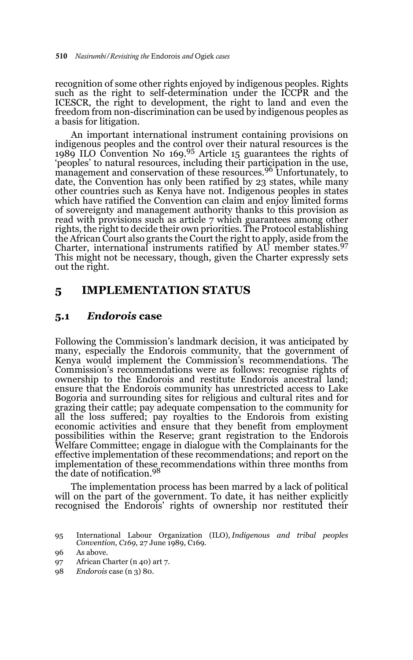recognition of some other rights enjoyed by indigenous peoples. Rights such as the right to self-determination under the ICCPR and the ICESCR, the right to development, the right to land and even the freedom from non-discrimination can be used by indigenous peoples as a basis for litigation.

An important international instrument containing provisions on indigenous peoples and the control over their natural resources is the 1989 ILO Convention No 169.95 Article 15 guarantees the rights of 'peoples' to natural resources, including their participation in the use, management and conservation of these resources.96 Unfortunately, to date, the Convention has only been ratified by 23 states, while many other countries such as Kenya have not. Indigenous peoples in states which have ratified the Convention can claim and enjoy limited forms of sovereignty and management authority thanks to this provision as read with provisions such as article 7 which guarantees among other rights, the right to decide their own priorities. The Protocol establishing the African Court also grants the Court the right to apply, aside from the Charter, international instruments ratified by  $AU$  member states.<sup>97</sup> This might not be necessary, though, given the Charter expressly sets out the right.

### **5 IMPLEMENTATION STATUS**

### **5.1** *Endorois* **case**

Following the Commission's landmark decision, it was anticipated by many, especially the Endorois community, that the government of Kenya would implement the Commission's recommendations. The Commission's recommendations were as follows: recognise rights of ownership to the Endorois and restitute Endorois ancestral land; ensure that the Endorois community has unrestricted access to Lake Bogoria and surrounding sites for religious and cultural rites and for grazing their cattle; pay adequate compensation to the community for all the loss suffered; pay royalties to the Endorois from existing economic activities and ensure that they benefit from employment possibilities within the Reserve; grant registration to the Endorois Welfare Committee; engage in dialogue with the Complainants for the effective implementation of these recommendations; and report on the implementation of these recommendations within three months from<br>the date of notification.<sup>98</sup>

The implementation process has been marred by a lack of political will on the part of the government. To date, it has neither explicitly recognised the Endorois' rights of ownership nor restituted their

<sup>95</sup> International Labour Organization (ILO), *Indigenous and tribal peoples Convention, C169*, 27 June 1989, C169.

<sup>96</sup> As above.

<sup>97</sup> African Charter (n 40) art 7.

<sup>98</sup> *Endorois* case (n 3) 80.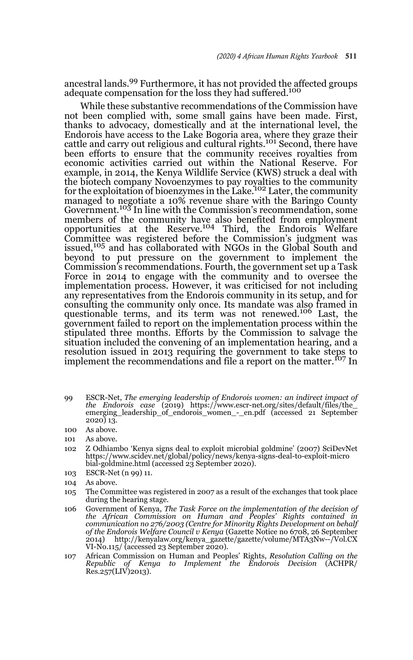ancestral lands.99 Furthermore, it has not provided the affected groups adequate compensation for the loss they had suffered.<sup>100</sup>

While these substantive recommendations of the Commission have not been complied with, some small gains have been made. First, thanks to advocacy, domestically and at the international level, the Endorois have access to the Lake Bogoria area, where they graze their cattle and carry out religious and cultural rights.101 Second, there have been efforts to ensure that the community receives royalties from economic activities carried out within the National Reserve. For example, in 2014, the Kenya Wildlife Service (KWS) struck a deal with the biotech company Novoenzymes to pay royalties to the community<br>for the exploitation of bioenzymes in the Lake.<sup>102</sup> Later, the community managed to negotiate a 10% revenue share with the Baringo County Government.<sup>103</sup> In line with the Commission's recommendation, some members of the community have also benefited from employment opportunities at the Reserve.104 Third, the Endorois Welfare Committee was registered before the Commission's judgment was issued,<sup>105</sup> and has collaborated with NGOs in the Global South and beyond to put pressure on the government to implement the Commission's recommendations. Fourth, the government set up a Task Force in 2014 to engage with the community and to oversee the implementation process. However, it was criticised for not including any representatives from the Endorois community in its setup, and for consulting the community only once. Its mandate was also framed in questionable terms, and its term was not renewed.<sup>106</sup> Last, the government failed to report on the implementation process within the stipulated three months. Efforts by the Commission to salvage the situation included the convening of an implementation hearing, and a resolution issued in 2013 requiring the government to take steps to implement the recommendations and file a report on the matter.<sup>107</sup> In

- 99 ESCR-Net, *The emerging leadership of Endorois women: an indirect impact of the Endorois case* (2019) https://www.escr-net.org/sites/default/files/the\_ emerging\_leadership\_of\_endorois\_women\_-\_en.pdf (accessed 21 September  $2020$ )  $13$ .
- 100 As above.
- 101 As above.
- 102 Z Odhiambo 'Kenya signs deal to exploit microbial goldmine' (2007) SciDevNet https://www.scidev.net/global/policy/news/kenya-signs-deal-to-exploit-micro bial-goldmine.html (accessed 23 September 2020).
- 103 ESCR-Net (n 99) 11.
- 104 As above.
- 105 The Committee was registered in 2007 as a result of the exchanges that took place during the hearing stage.
- 106 Government of Kenya, *The Task Force on the implementation of the decision of the African Commission on Human and Peoples' Rights contained in communication no 276/2003 (Centre for Minority Rights Development on behalf of the Endorois Welfare Council v Kenya* (Gazette Notice no 6708, 26 September 2014) http://kenyalaw.org/kenya\_gazette/gazette/volume/MTA3Nw--/Vol.CX VI-No.115/ (accessed 23 September 2020).
- 107 African Commission on Human and Peoples' Rights, *Resolution Calling on the Republic of Kenya to Implement the Endorois Decision* (ACHPR/ Res.257(LIV)2013).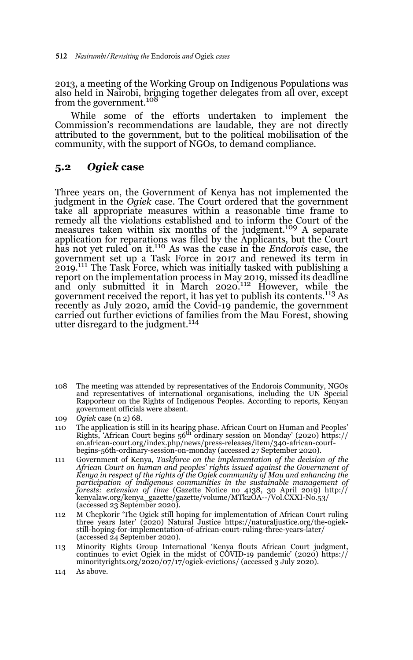2013, a meeting of the Working Group on Indigenous Populations was also held in Nairobi, bringing together delegates from all over, except from the government.<sup>108</sup>

While some of the efforts undertaken to implement the Commission's recommendations are laudable, they are not directly attributed to the government, but to the political mobilisation of the community, with the support of NGOs, to demand compliance.

### **5.2** *Ogiek* **case**

Three years on, the Government of Kenya has not implemented the judgment in the *Ogiek* case. The Court ordered that the government take all appropriate measures within a reasonable time frame to remedy all the violations established and to inform the Court of the measures taken within six months of the judgment.<sup>109</sup> A separate application for reparations was filed by the Applicants, but the Court has not yet ruled on it.110 As was the case in the *Endorois* case, the government set up a Task Force in 2017 and renewed its term in 2019.111 The Task Force, which was initially tasked with publishing a report on the implementation process in May 2019, missed its deadline and only submitted it in March 2020.112 However, while the government received the report, it has yet to publish its contents.113 As recently as July 2020, amid the Covid-19 pandemic, the government carried out further evictions of families from the Mau Forest, showing utter disregard to the judgment.<sup>114</sup>

108 The meeting was attended by representatives of the Endorois Community, NGOs and representatives of international organisations, including the UN Special Rapporteur on the Rights of Indigenous Peoples. According to reports, Kenyan government officials were absent.

- 110 The application is still in its hearing phase. African Court on Human and Peoples' Rights, 'African Court begins 56th ordinary session on Monday' (2020) https:// en.african-court.org/index.php/news/press-releases/item/340-african-courtbegins-56th-ordinary-session-on-monday (accessed 27 September 2020).
- 111 Government of Kenya, *Taskforce on the implementation of the decision of the African Court on human and peoples' rights issued against the Government of Kenya in respect of the rights of the Ogiek community of Mau and enhancing the participation of indigenous communities in the sustainable management of forests: extension of time* (Gazette Notice no 4138, 30 April 2019) http:// kenyalaw.org/kenya\_gazette/gazette/volume/MTk2OA--/Vol.CXXI-No.53/ (accessed 23 September 2020).
- 112 M Chepkorir 'The Ogiek still hoping for implementation of African Court ruling three years later' (2020) Natural Justice https://naturaljustice.org/the-ogiekstill-hoping-for-implementation-of-african-court-ruling-three-years-later/ (accessed 24 September 2020).
- 113 Minority Rights Group International 'Kenya flouts African Court judgment, continues to evict Ogiek in the midst of COVID-19 pandemic' (2020) https:// minorityrights.org/2020/07/17/ogiek-evictions/ (accessed 3 July 2020).
- 114 As above.

<sup>109</sup> *Ogiek* case (n 2) 68.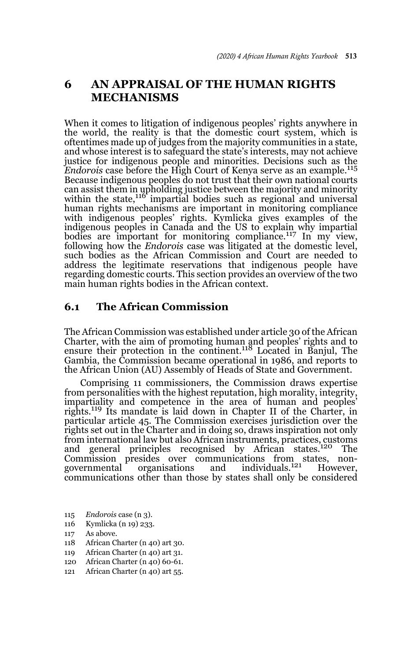# **6 AN APPRAISAL OF THE HUMAN RIGHTS MECHANISMS**

When it comes to litigation of indigenous peoples' rights anywhere in the world, the reality is that the domestic court system, which is oftentimes made up of judges from the majority communities in a state, and whose interest is to safeguard the state's interests, may not achieve justice for indigenous people and minorities. Decisions such as the *Endorois* case before the High Court of Kenya serve as an example.<sup>115</sup> Because indigenous peoples do not trust that their own national courts can assist them in upholding justice between the majority and minority<br>within the state,<sup>116</sup> impartial bodies such as regional and universal human rights mechanisms are important in monitoring compliance with indigenous peoples' rights. Kymlicka gives examples of the indigenous peoples in Canada and the US to explain why impartial bodies are important for monitoring compliance.<sup>117</sup> In my view, following how the *Endorois* case was litigated at the domestic level, such bodies as the African Commission and Court are needed to address the legitimate reservations that indigenous people have regarding domestic courts. This section provides an overview of the two main human rights bodies in the African context.

### **6.1 The African Commission**

The African Commission was established under article 30 of the African Charter, with the aim of promoting human and peoples' rights and to ensure their protection in the continent.118 Located in Banjul, The Gambia, the Commission became operational in 1986, and reports to the African Union (AU) Assembly of Heads of State and Government.

Comprising 11 commissioners, the Commission draws expertise from personalities with the highest reputation, high morality, integrity, impartiality and competence in the area of human and peoples' rights.119 Its mandate is laid down in Chapter II of the Charter, in particular article 45. The Commission exercises jurisdiction over the rights set out in the Charter and in doing so, draws inspiration not only from international law but also African instruments, practices, customs and general principles recognised by African states.120 The Commission presides over communications from states, non-<br>governmental organisations and individuals.<sup>121</sup> However. organisations and individuals.<sup>121</sup> However, communications other than those by states shall only be considered

- 115 *Endorois* case (n 3).
- 116 Kymlicka (n 19) 233.
- 117 As above.
- 118 African Charter (n 40) art 30.
- 119 African Charter (n 40) art 31.
- 120 African Charter (n 40) 60-61.
- 121 African Charter (n 40) art 55.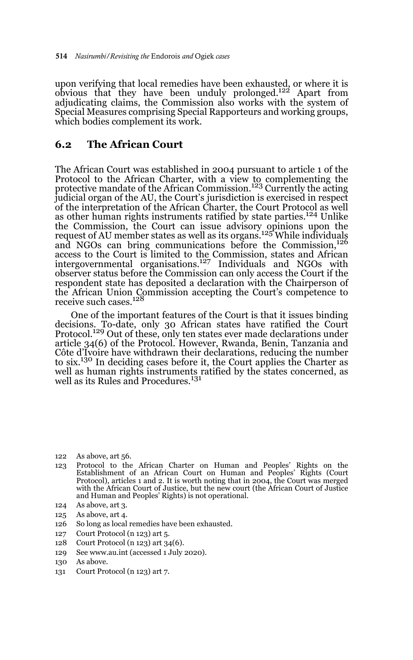upon verifying that local remedies have been exhausted, or where it is obvious that they have been unduly prolonged.122 Apart from adjudicating claims, the Commission also works with the system of Special Measures comprising Special Rapporteurs and working groups, which bodies complement its work.

### **6.2 The African Court**

The African Court was established in 2004 pursuant to article 1 of the Protocol to the African Charter, with a view to complementing the protective mandate of the African Commission.<sup>123</sup> Currently the acting judicial organ of the AU, the Court's jurisdiction is exercised in respect of the interpretation of the African Charter, the Court Protocol as well as other human rights instruments ratified by state parties.<sup>124</sup> Unlike the Commission, the Court can issue advisory opinions upon the request of AU member states as well as its organs.<sup>125</sup> While individuals and NGOs can bring communications before the Commission,<sup>126</sup> access to the Court is limited to the Commission, states and African intergovernmental organisations.127 Individuals and NGOs with observer status before the Commission can only access the Court if the respondent state has deposited a declaration with the Chairperson of the African Union Commission accepting the Court's competence to receive such cases.<sup>128</sup>

One of the important features of the Court is that it issues binding decisions. To-date, only 30 African states have ratified the Court<br>Protocol.<sup>129</sup> Out of these, only ten states ever made declarations under article 34(6) of the Protocol. However, Rwanda, Benin, Tanzania and Côte d'Ivoire have withdrawn their declarations, reducing the number to six.130 In deciding cases before it, the Court applies the Charter as well as human rights instruments ratified by the states concerned, as well as its Rules and Procedures.<sup>131</sup>

- 123 Protocol to the African Charter on Human and Peoples' Rights on the Establishment of an African Court on Human and Peoples' Rights (Court Protocol), articles 1 and 2. It is worth noting that in 2004, the Court was merged with the African Court of Justice, but the new court (the African Court of Justice and Human and Peoples' Rights) is not operational.
- 124 As above, art 3.
- 125 As above, art 4.
- 126 So long as local remedies have been exhausted.
- 127 Court Protocol (n 123) art 5.
- 128 Court Protocol (n 123) art 34(6).
- 129 See www.au.int (accessed 1 July 2020).
- 130 As above.
- 131 Court Protocol (n 123) art 7.

<sup>122</sup> As above, art 56.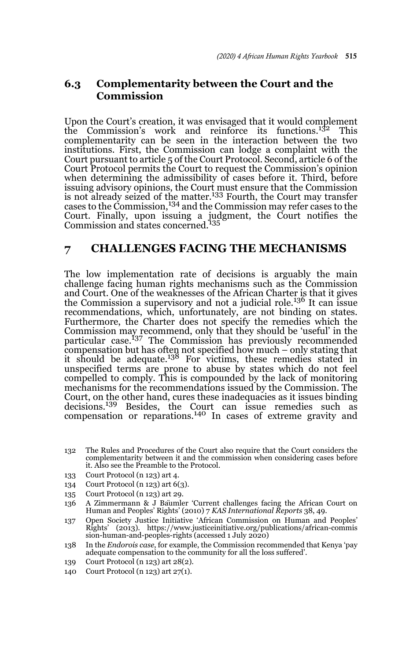# **6.3 Complementarity between the Court and the Commission**

Upon the Court's creation, it was envisaged that it would complement the Commission's work and reinforce its functions.132 This complementarity can be seen in the interaction between the two institutions. First, the Commission can lodge a complaint with the Court pursuant to article 5 of the Court Protocol. Second, article 6 of the Court Protocol permits the Court to request the Commission's opinion when determining the admissibility of cases before it. Third, before issuing advisory opinions, the Court must ensure that the Commission is not already seized of the matter.<sup>133</sup> Fourth, the Court may transfer cases to the Commission,134 and the Commission may refer cases to the Court. Finally, upon issuing a judgment, the Court notifies the Commission and states concerned.<sup>135</sup>

### **7 CHALLENGES FACING THE MECHANISMS**

The low implementation rate of decisions is arguably the main challenge facing human rights mechanisms such as the Commission and Court. One of the weaknesses of the African Charter is that it gives the Commission a supervisory and not a judicial role.<sup>136</sup> It can issue recommendations, which, unfortunately, are not binding on states. Furthermore, the Charter does not specify the remedies which the Commission may recommend, only that they should be 'useful' in the particular case.137 The Commission has previously recommended compensation but has often not specified how much – only stating that it should be adequate.<sup>138</sup> For victims, these remedies stated in unspecified terms are prone to abuse by states which do not feel compelled to comply. This is compounded by the lack of monitoring mechanisms for the recommendations issued by the Commission. The Court, on the other hand, cures these inadequacies as it issues binding decisions.<sup>139</sup> Besides, the Court can issue remedies such as compensation or reparations.140 In cases of extreme gravity and

- 133 Court Protocol (n 123) art 4.
- 134 Court Protocol (n 123) art 6(3).
- 135 Court Protocol (n 123) art 29.
- 136 A Zimmermann & J Bäumler 'Current challenges facing the African Court on Human and Peoples' Rights' (2010) 7 *KAS International Reports* 38, 49.
- 137 Open Society Justice Initiative 'African Commission on Human and Peoples' Rights' (2013). https://www.justiceinitiative.org/publications/african-commis sion-human-and-peoples-rights (accessed 1 July 2020)
- 138 In the *Endorois case*, for example, the Commission recommended that Kenya 'pay adequate compensation to the community for all the loss suffered'.
- 139 Court Protocol (n 123) art 28(2).
- 140 Court Protocol (n 123) art 27(1).

<sup>132</sup> The Rules and Procedures of the Court also require that the Court considers the complementarity between it and the commission when considering cases before it. Also see the Preamble to the Protocol.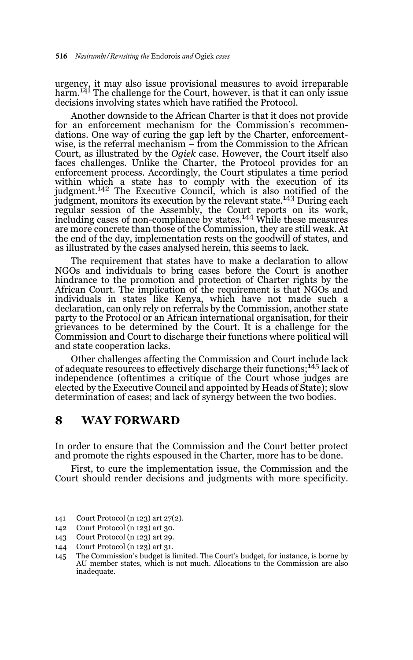urgency, it may also issue provisional measures to avoid irreparable<br>harm.<sup>141</sup> The challenge for the Court, however, is that it can only issue decisions involving states which have ratified the Protocol.

Another downside to the African Charter is that it does not provide for an enforcement mechanism for the Commission's recommendations. One way of curing the gap left by the Charter, enforcementwise, is the referral mechanism – from the Commission to the African Court, as illustrated by the *Ogiek* case. However, the Court itself also faces challenges. Unlike the Charter, the Protocol provides for an enforcement process. Accordingly, the Court stipulates a time period within which a state has to comply with the execution of its judgment.142 The Executive Council, which is also notified of the judgment, monitors its execution by the relevant state.<sup>143</sup> During each regular session of the Assembly, the Court reports on its work, including cases of non-compliance by states.144 While these measures are more concrete than those of the Commission, they are still weak. At the end of the day, implementation rests on the goodwill of states, and as illustrated by the cases analysed herein, this seems to lack.

The requirement that states have to make a declaration to allow NGOs and individuals to bring cases before the Court is another hindrance to the promotion and protection of Charter rights by the African Court. The implication of the requirement is that NGOs and individuals in states like Kenya, which have not made such a declaration, can only rely on referrals by the Commission, another state party to the Protocol or an African international organisation, for their grievances to be determined by the Court. It is a challenge for the Commission and Court to discharge their functions where political will and state cooperation lacks.

Other challenges affecting the Commission and Court include lack of adequate resources to effectively discharge their functions;145 lack of independence (oftentimes a critique of the Court whose judges are elected by the Executive Council and appointed by Heads of State); slow determination of cases; and lack of synergy between the two bodies.

## **8 WAY FORWARD**

In order to ensure that the Commission and the Court better protect and promote the rights espoused in the Charter, more has to be done.

First, to cure the implementation issue, the Commission and the Court should render decisions and judgments with more specificity.

- 141 Court Protocol (n 123) art 27(2).
- 142 Court Protocol (n 123) art 30.
- 143 Court Protocol (n 123) art 29.
- 144 Court Protocol (n 123) art 31.

<sup>145</sup> The Commission's budget is limited. The Court's budget, for instance, is borne by AU member states, which is not much. Allocations to the Commission are also inadequate.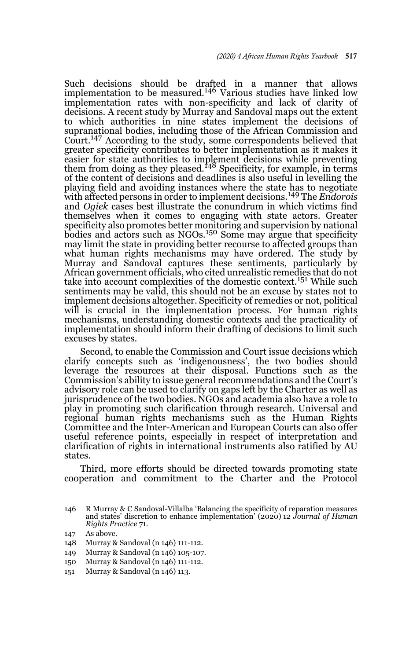Such decisions should be drafted in a manner that allows implementation to be measured.<sup>146</sup> Various studies have linked low implementation rates with non-specificity and lack of clarity of decisions. A recent study by Murray and Sandoval maps out the extent to which authorities in nine states implement the decisions of supranational bodies, including those of the African Commission and Court.147 According to the study, some correspondents believed that greater specificity contributes to better implementation as it makes it easier for state authorities to implement decisions while preventing<br>them from doing as they pleased.<sup>148</sup> Specificity, for example, in terms of the content of decisions and deadlines is also useful in levelling the playing field and avoiding instances where the state has to negotiate with affected persons in order to implement decisions.149 The *Endorois* and *Ogiek* cases best illustrate the conundrum in which victims find themselves when it comes to engaging with state actors. Greater specificity also promotes better monitoring and supervision by national bodies and actors such as NGOs.<sup>150</sup> Some may argue that specificity may limit the state in providing better recourse to affected groups than what human rights mechanisms may have ordered. The study by Murray and Sandoval captures these sentiments, particularly by African government officials, who cited unrealistic remedies that do not take into account complexities of the domestic context.151 While such sentiments may be valid, this should not be an excuse by states not to implement decisions altogether. Specificity of remedies or not, political will is crucial in the implementation process. For human rights mechanisms, understanding domestic contexts and the practicality of implementation should inform their drafting of decisions to limit such excuses by states.

Second, to enable the Commission and Court issue decisions which clarify concepts such as 'indigenousness', the two bodies should leverage the resources at their disposal. Functions such as the Commission's ability to issue general recommendations and the Court's advisory role can be used to clarify on gaps left by the Charter as well as jurisprudence of the two bodies. NGOs and academia also have a role to play in promoting such clarification through research. Universal and regional human rights mechanisms such as the Human Rights Committee and the Inter-American and European Courts can also offer useful reference points, especially in respect of interpretation and clarification of rights in international instruments also ratified by AU states.

Third, more efforts should be directed towards promoting state cooperation and commitment to the Charter and the Protocol

- 148 Murray & Sandoval (n 146) 111-112.
- 149 Murray & Sandoval (n 146) 105-107.
- 150 Murray & Sandoval (n 146) 111-112.
- 151 Murray & Sandoval (n 146) 113.

<sup>146</sup> R Murray & C Sandoval-Villalba 'Balancing the specificity of reparation measures and states' discretion to enhance implementation' (2020) 12 *Journal of Human Rights Practice* 71.

<sup>147</sup> As above.